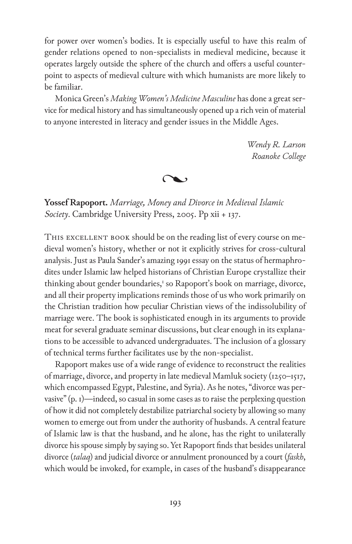for power over women's bodies. It is especially useful to have this realm of gender relations opened to non-specialists in medieval medicine, because it operates largely outside the sphere of the church and offers a useful counterpoint to aspects of medieval culture with which humanists are more likely to be familiar.

Monica Green's *Making Women's Medicine Masculine* has done a great service for medical history and has simultaneously opened up a rich vein of material to anyone interested in literacy and gender issues in the Middle Ages.

> *Wendy R. Larson Roanoke College*

J

**Yossef Rapoport.** *Marriage, Money and Divorce in Medieval Islamic Society*. Cambridge University Press, 2005. Pp xii + 137.

THIS EXCELLENT BOOK should be on the reading list of every course on medieval women's history, whether or not it explicitly strives for cross-cultural analysis. Just as Paula Sander's amazing 1991 essay on the status of hermaphrodites under Islamic law helped historians of Christian Europe crystallize their thinking about gender boundaries,<sup>1</sup> so Rapoport's book on marriage, divorce, and all their property implications reminds those of us who work primarily on the Christian tradition how peculiar Christian views of the indissolubility of marriage were. The book is sophisticated enough in its arguments to provide meat for several graduate seminar discussions, but clear enough in its explanations to be accessible to advanced undergraduates. The inclusion of a glossary of technical terms further facilitates use by the non-specialist.

Rapoport makes use of a wide range of evidence to reconstruct the realities of marriage, divorce, and property in late medieval Mamluk society (1250–1517, which encompassed Egypt, Palestine, and Syria). As he notes, "divorce was pervasive" (p. 1)—indeed, so casual in some cases as to raise the perplexing question of how it did not completely destabilize patriarchal society by allowing so many women to emerge out from under the authority of husbands. A central feature of Islamic law is that the husband, and he alone, has the right to unilaterally divorce his spouse simply by saying so. Yet Rapoport finds that besides unilateral divorce (*talaq*) and judicial divorce or annulment pronounced by a court (*faskh*, which would be invoked, for example, in cases of the husband's disappearance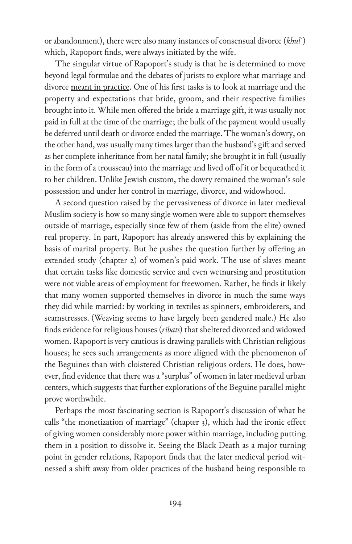or abandonment), there were also many instances of consensual divorce (*khul`*) which, Rapoport finds, were always initiated by the wife.

The singular virtue of Rapoport's study is that he is determined to move beyond legal formulae and the debates of jurists to explore what marriage and divorce meant in practice. One of his first tasks is to look at marriage and the property and expectations that bride, groom, and their respective families brought into it. While men offered the bride a marriage gift, it was usually not paid in full at the time of the marriage; the bulk of the payment would usually be deferred until death or divorce ended the marriage. The woman's dowry, on the other hand, was usually many times larger than the husband's gift and served as her complete inheritance from her natal family; she brought it in full (usually in the form of a trousseau) into the marriage and lived off of it or bequeathed it to her children. Unlike Jewish custom, the dowry remained the woman's sole possession and under her control in marriage, divorce, and widowhood.

A second question raised by the pervasiveness of divorce in later medieval Muslim society is how so many single women were able to support themselves outside of marriage, especially since few of them (aside from the elite) owned real property. In part, Rapoport has already answered this by explaining the basis of marital property. But he pushes the question further by offering an extended study (chapter 2) of women's paid work. The use of slaves meant that certain tasks like domestic service and even wetnursing and prostitution were not viable areas of employment for freewomen. Rather, he finds it likely that many women supported themselves in divorce in much the same ways they did while married: by working in textiles as spinners, embroiderers, and seamstresses. (Weaving seems to have largely been gendered male.) He also finds evidence for religious houses (*ribats*) that sheltered divorced and widowed women. Rapoport is very cautious is drawing parallels with Christian religious houses; he sees such arrangements as more aligned with the phenomenon of the Beguines than with cloistered Christian religious orders. He does, however, find evidence that there was a "surplus" of women in later medieval urban centers, which suggests that further explorations of the Beguine parallel might prove worthwhile.

Perhaps the most fascinating section is Rapoport's discussion of what he calls "the monetization of marriage" (chapter 3), which had the ironic effect of giving women considerably more power within marriage, including putting them in a position to dissolve it. Seeing the Black Death as a major turning point in gender relations, Rapoport finds that the later medieval period witnessed a shift away from older practices of the husband being responsible to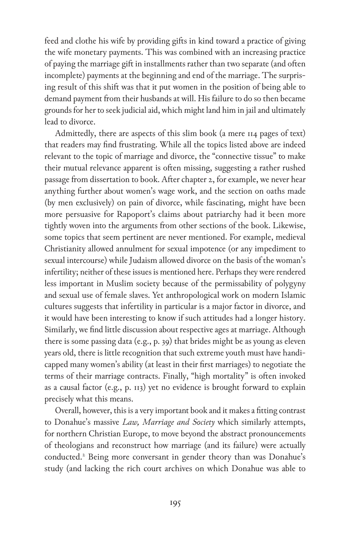feed and clothe his wife by providing gifts in kind toward a practice of giving the wife monetary payments. This was combined with an increasing practice of paying the marriage gift in installments rather than two separate (and often incomplete) payments at the beginning and end of the marriage. The surprising result of this shift was that it put women in the position of being able to demand payment from their husbands at will. His failure to do so then became grounds for her to seek judicial aid, which might land him in jail and ultimately lead to divorce.

Admittedly, there are aspects of this slim book (a mere 114 pages of text) that readers may find frustrating. While all the topics listed above are indeed relevant to the topic of marriage and divorce, the "connective tissue" to make their mutual relevance apparent is often missing, suggesting a rather rushed passage from dissertation to book. After chapter 2, for example, we never hear anything further about women's wage work, and the section on oaths made (by men exclusively) on pain of divorce, while fascinating, might have been more persuasive for Rapoport's claims about patriarchy had it been more tightly woven into the arguments from other sections of the book. Likewise, some topics that seem pertinent are never mentioned. For example, medieval Christianity allowed annulment for sexual impotence (or any impediment to sexual intercourse) while Judaism allowed divorce on the basis of the woman's infertility; neither of these issues is mentioned here. Perhaps they were rendered less important in Muslim society because of the permissability of polygyny and sexual use of female slaves. Yet anthropological work on modern Islamic cultures suggests that infertility in particular is a major factor in divorce, and it would have been interesting to know if such attitudes had a longer history. Similarly, we find little discussion about respective ages at marriage. Although there is some passing data (e.g., p. 39) that brides might be as young as eleven years old, there is little recognition that such extreme youth must have handicapped many women's ability (at least in their first marriages) to negotiate the terms of their marriage contracts. Finally, "high mortality" is often invoked as a causal factor (e.g., p. 113) yet no evidence is brought forward to explain precisely what this means.

Overall, however, this is a very important book and it makes a fitting contrast to Donahue's massive *Law, Marriage and Society* which similarly attempts, for northern Christian Europe, to move beyond the abstract pronouncements of theologians and reconstruct how marriage (and its failure) were actually conducted.<sup>2</sup> Being more conversant in gender theory than was Donahue's study (and lacking the rich court archives on which Donahue was able to